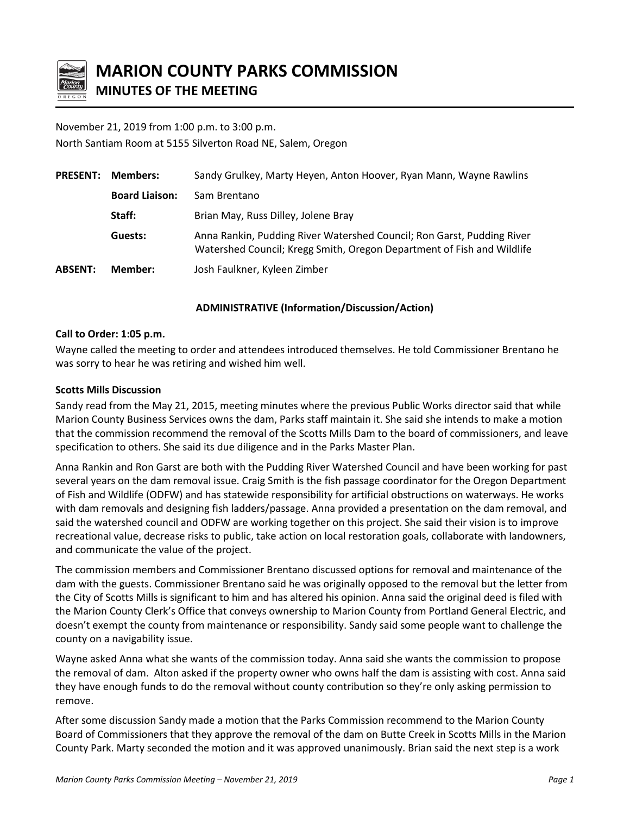

# **MARION COUNTY PARKS COMMISSION MINUTES OF THE MEETING**

## November 21, 2019 from 1:00 p.m. to 3:00 p.m. North Santiam Room at 5155 Silverton Road NE, Salem, Oregon

| <b>PRESENT:</b> | <b>Members:</b>       | Sandy Grulkey, Marty Heyen, Anton Hoover, Ryan Mann, Wayne Rawlins                                                                               |
|-----------------|-----------------------|--------------------------------------------------------------------------------------------------------------------------------------------------|
|                 | <b>Board Liaison:</b> | Sam Brentano                                                                                                                                     |
|                 | Staff:                | Brian May, Russ Dilley, Jolene Bray                                                                                                              |
|                 | Guests:               | Anna Rankin, Pudding River Watershed Council; Ron Garst, Pudding River<br>Watershed Council; Kregg Smith, Oregon Department of Fish and Wildlife |
| <b>ABSENT:</b>  | Member:               | Josh Faulkner, Kyleen Zimber                                                                                                                     |

### **ADMINISTRATIVE (Information/Discussion/Action)**

### **Call to Order: 1:05 p.m.**

Wayne called the meeting to order and attendees introduced themselves. He told Commissioner Brentano he was sorry to hear he was retiring and wished him well.

### **Scotts Mills Discussion**

Sandy read from the May 21, 2015, meeting minutes where the previous Public Works director said that while Marion County Business Services owns the dam, Parks staff maintain it. She said she intends to make a motion that the commission recommend the removal of the Scotts Mills Dam to the board of commissioners, and leave specification to others. She said its due diligence and in the Parks Master Plan.

Anna Rankin and Ron Garst are both with the Pudding River Watershed Council and have been working for past several years on the dam removal issue. Craig Smith is the fish passage coordinator for the Oregon Department of Fish and Wildlife (ODFW) and has statewide responsibility for artificial obstructions on waterways. He works with dam removals and designing fish ladders/passage. Anna provided a presentation on the dam removal, and said the watershed council and ODFW are working together on this project. She said their vision is to improve recreational value, decrease risks to public, take action on local restoration goals, collaborate with landowners, and communicate the value of the project.

The commission members and Commissioner Brentano discussed options for removal and maintenance of the dam with the guests. Commissioner Brentano said he was originally opposed to the removal but the letter from the City of Scotts Mills is significant to him and has altered his opinion. Anna said the original deed is filed with the Marion County Clerk's Office that conveys ownership to Marion County from Portland General Electric, and doesn't exempt the county from maintenance or responsibility. Sandy said some people want to challenge the county on a navigability issue.

Wayne asked Anna what she wants of the commission today. Anna said she wants the commission to propose the removal of dam. Alton asked if the property owner who owns half the dam is assisting with cost. Anna said they have enough funds to do the removal without county contribution so they're only asking permission to remove.

After some discussion Sandy made a motion that the Parks Commission recommend to the Marion County Board of Commissioners that they approve the removal of the dam on Butte Creek in Scotts Mills in the Marion County Park. Marty seconded the motion and it was approved unanimously. Brian said the next step is a work